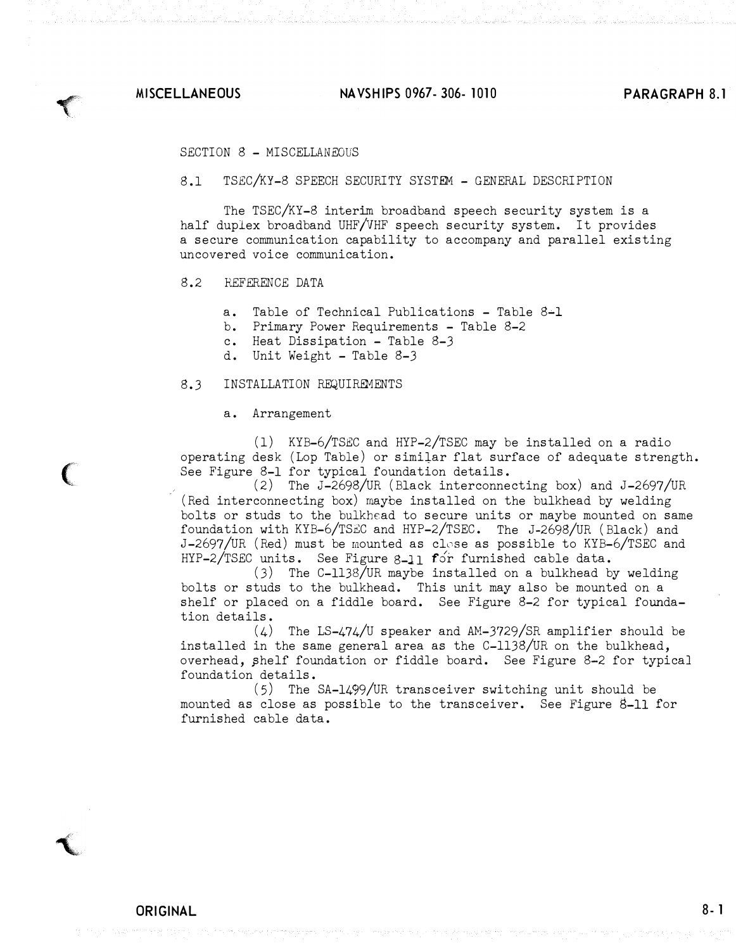$\blacktriangledown$ 

 $\big($ 

**T** 

MISCELLANEOUS NA VSH IPS 0967- 306- 1010 PARAGRAPH 8.1

SECTION 8 - MISCELLANEOUS

8.1 TSEC/KY-8 SPEECH SECURITY SYSTEM - GENERAL DESCRIPTION

The TSEC/KY-8 interim broadband speech security system is a half duplex broadband UHF/VHF speech security system. It provides a secure communication capability to accompany and parallel existing uncovered voice communication.

8.2 REFERENCE DATA

a. Table of Technical Publications  $-$  Table 8-1

- b. Primary Power Requirements Table 8-2
- c. Heat Dissipation Table 8-3
- d. Unit Weight Table 8-3

#### 8.3 INSTALLATION REQUIREMENTS

a. Arrangement

(1) KYB-6/TSEC and HYP-2/TSEC may be installed on a radio operating desk (Lop Table) or similar flat surface of adequate strength. See Figure 8-1 for typical foundation details.

(2) The J-2698/UR (Black interconnecting box) and J-2697/UR (Red interconnecting box) maybe installed on the bulkhead by welding bolts or studs to the bulkhead to secure units or maybe mounted on same foundation with KYB-6/TSEC and HYP-2/TSEC. The J-2698/UR (Black) and J-2697/UR (Red) must be mounted as close as possible to KYB-6/TSEC and HYP-2/TSEC units. See Figure 8-11 for furnished cable data.

(3) The C-1138/UR maybe installed on a bulkhead by welding bolts or studs to the bulkhead. This unit may also be mounted on a shelf or placed on a fiddle board. See Figure 8-2 for typical foundation details.

 $(4)$  The LS-474/U speaker and AM-3729/SR amplifier should be installed in the same general area as the C-1138/UR on the bulkhead, overhead, �helf foundation or fiddle board. See Figure 8-2 for typical foundation details.

(5) The SA-1499/UR transceiver switching unit should be mounted as close as possible to the transceiver. See Figure 8-11 for furnished cable data.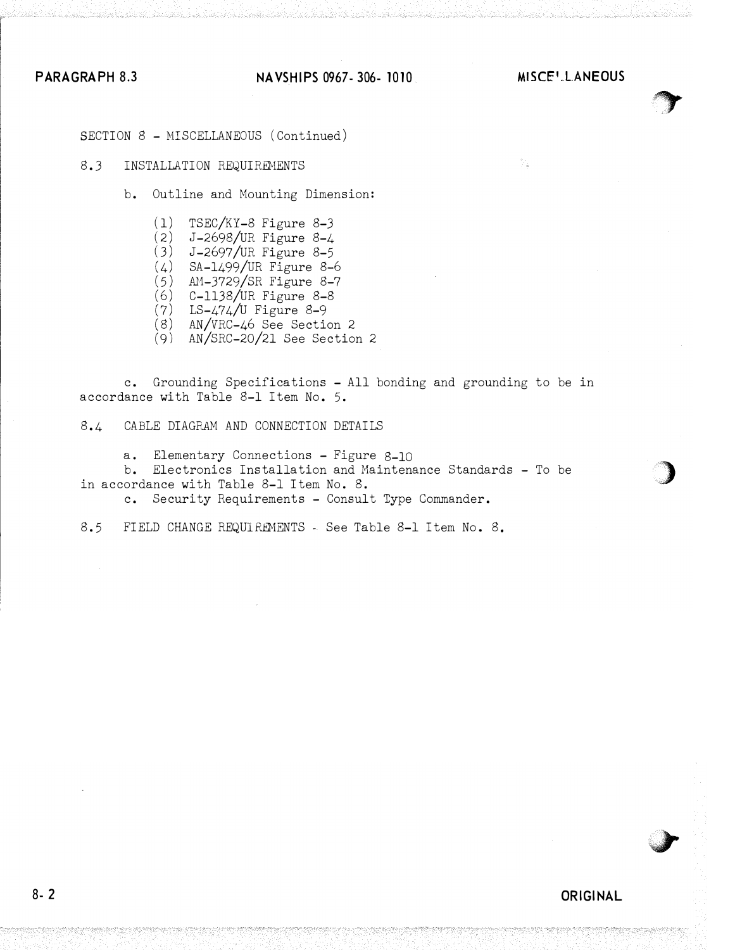### PARAGRAPH 8.3 NAVSHIPS 0967-306-1010 MISCE'LANEOUS



)

**J** 

SECTION 8 - MISCELLANEOUS (Continued)

### 8.3 INSTALLATION REQUIREMENTS

- b. Outline and Mounting Dimension:
	- $(1)$  TSEC/KY-8 Figure 8-3
	- $(2)$  J-2698/UR Figure 8-4
	- ( <sup>3</sup> ) J-2697/UR Figure 8-5
	- 4) SA-1499/UR Figure 8-6
	- $(5)$  AM-3729/SR Figure 8-7
	- <sup>6</sup> ) C-1138/UR Figure 8-8
	- <sup>7</sup> ) LS-474/U Figure 8-9
	- <sup>8</sup> ) AN/VRC-46 See Section 2
	- $(9)$  AN/SRC-20/21 See Section 2

c. Grounding Specifications - All bonding and grounding to be in accordance with Table 8-l Item No. 5.

8.4 CABLE DIAGRAH AND CONNECTION DETAILS

a. Elementary Connections - Figure 8-10

b. Electronics Installation and Haintenance Standards - To be in accordance with Table 8-1 Item No. 8.

c. Security Requirements - Consult Type Commander.

8.5 FIELD CHANGE REQUIREMENTS - See Table 8-l Item No. 8.

ORIGINAL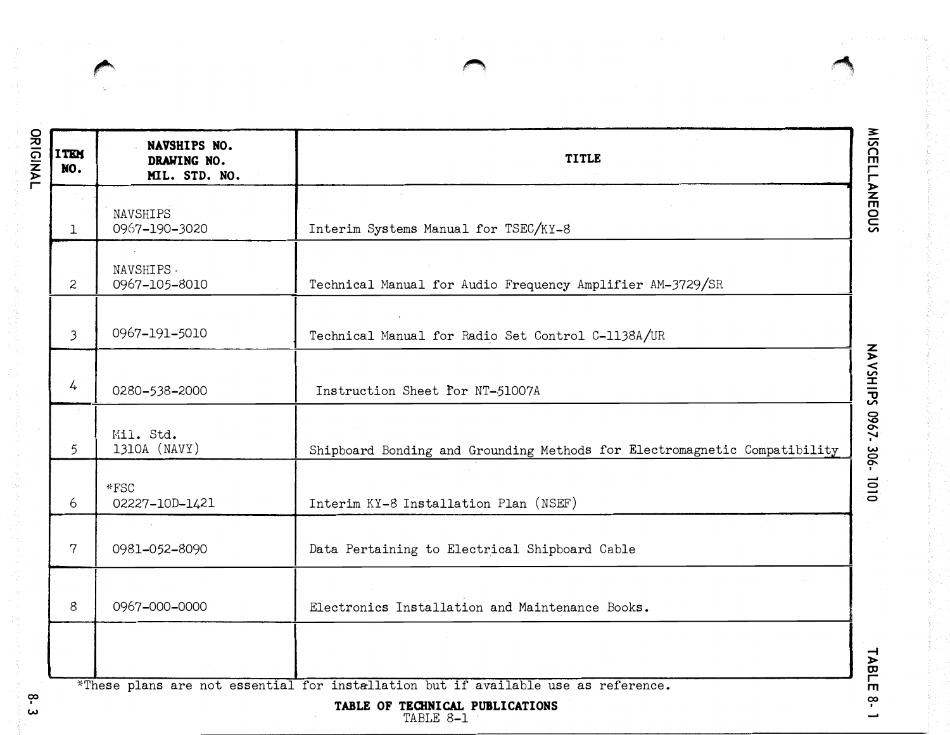**Contract Contract Contract Contract Contract Contract Contract Contract Contract Contract Contract Contract Contract Contract Contract Contract Contract Contract Contract Contract Contract Contract Contract Contract Contr** 

| ORIGINAL                   | <b>ITEM</b><br>NO.       | NAVSHIPS NO.<br>DRAWING NO.<br>MIL. STD. NO. | <b>TITLE</b>                                                                                                                       |                        |  |  |
|----------------------------|--------------------------|----------------------------------------------|------------------------------------------------------------------------------------------------------------------------------------|------------------------|--|--|
|                            | 1                        | NAVSHIPS<br>0967-190-3020                    | Interim Systems Manual for TSEC/KY-8                                                                                               | <b>MISCELLANEOUS</b>   |  |  |
|                            | $\mathbf{2}$             | NAVSHIPS -<br>0967-105-8010                  | Technical Manual for Audio Frequency Amplifier AM-3729/SR                                                                          |                        |  |  |
|                            | $\overline{\mathcal{E}}$ | 0967-191-5010                                | Technical Manual for Radio Set Control C-1138A/UR                                                                                  |                        |  |  |
|                            | 4                        | 0280-538-2000                                | Instruction Sheet for NT-51007A                                                                                                    | NAVSHIPS 0967-306-1010 |  |  |
|                            | 5                        | Mil. Std.<br>1310A (NAVY)                    | Shipboard Bonding and Grounding Methods for Electromagnetic Compatibility                                                          |                        |  |  |
|                            | 6                        | *FSC<br>02227-10D-1421                       | Interim KY-8 Installation Plan (NSEF)                                                                                              |                        |  |  |
|                            | $\overline{7}$           | 0981-052-8090                                | Data Pertaining to Electrical Shipboard Cable                                                                                      |                        |  |  |
|                            | 8                        | 0967-000-0000                                | Electronics Installation and Maintenance Books.                                                                                    |                        |  |  |
|                            |                          |                                              |                                                                                                                                    | TABLE                  |  |  |
| $\tilde{\phantom{a}}$<br>ພ |                          |                                              | *These plans are not essential for installation but if available use as reference.<br>TABLE OF TECHNICAL PUBLICATIONS<br>TABLE 8-1 | ဇု                     |  |  |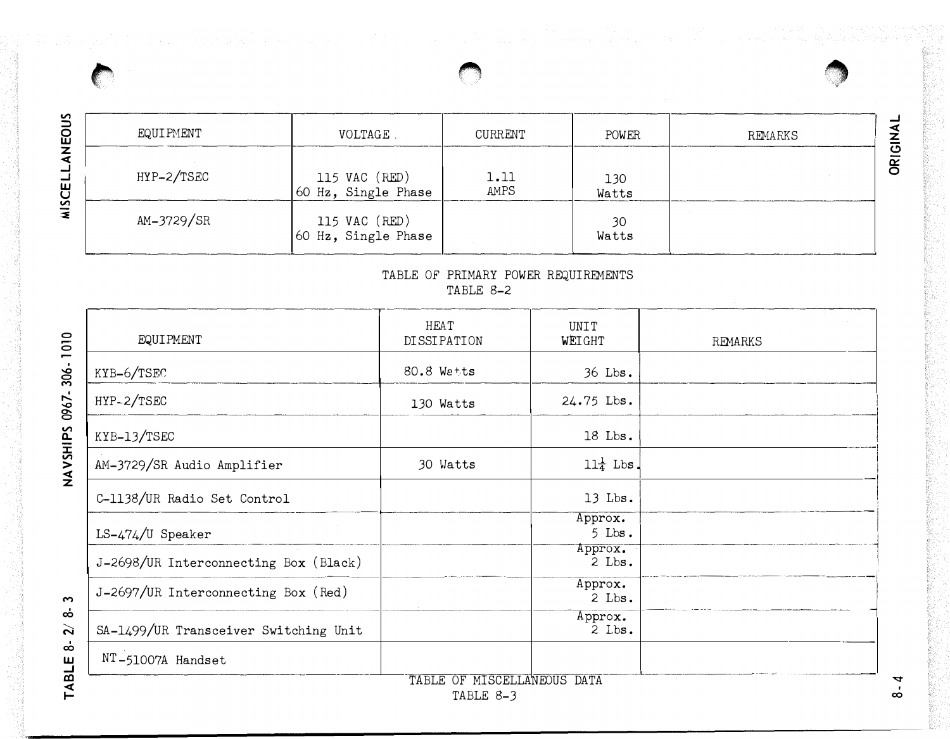| и<br>EOU | EQUIPMENT  | <b>VOLTAGE</b>                                                                                  | CURRENT      | POWER        | REMARKS |
|----------|------------|-------------------------------------------------------------------------------------------------|--------------|--------------|---------|
| ш        | HYP-2/TSEC | $\begin{vmatrix} 115 \ \text{VAC} \ \text{(RED)} \ 60 \ \text{Hz} \end{vmatrix}$ , Single Phase | 1.11<br>AMPS | 130<br>Watts |         |
| m<br>z.  | AM-3729/SR | 115 VAC (RED)<br>60 Hz, Single Phase                                                            |              | 30<br>Watts  |         |

### TABLE OF PRIMARY POWER REQUIREMENTS TABLE 8-2

,., •

| <b>HEAT</b><br>DISSIPATION | UNIT<br>WEIGHT       | REMARKS |
|----------------------------|----------------------|---------|
| 80.8 Watts                 | 36 Lbs.              |         |
| 130 Watts                  | 24.75 Lbs.           |         |
|                            | 18 Lbs.              |         |
| 30 Watts                   | $11\frac{1}{4}$ Lbs. |         |
|                            | $13$ Lbs.            |         |
|                            | Approx.<br>$5$ Lbs.  |         |
|                            | Approx.<br>$2$ Lbs.  |         |
|                            | Approx.<br>$2$ Lbs.  |         |
|                            | Approx.<br>$2$ Lbs.  |         |
|                            |                      |         |
|                            |                      |         |

 $67 - 306$ g; <u>ፚ</u> HS<br>V<br>A<br>N<br>X<br>

<u>0 رح</u>

 $8 - 4$ 

 $\mathbf{\hat{z}}$  $\circ$  $\mathsf{g}% _{T}\!\left( t\right) \equiv\left( 1-\left\{ 1\right\} \right)$ 

 $\rightarrow$ >,:/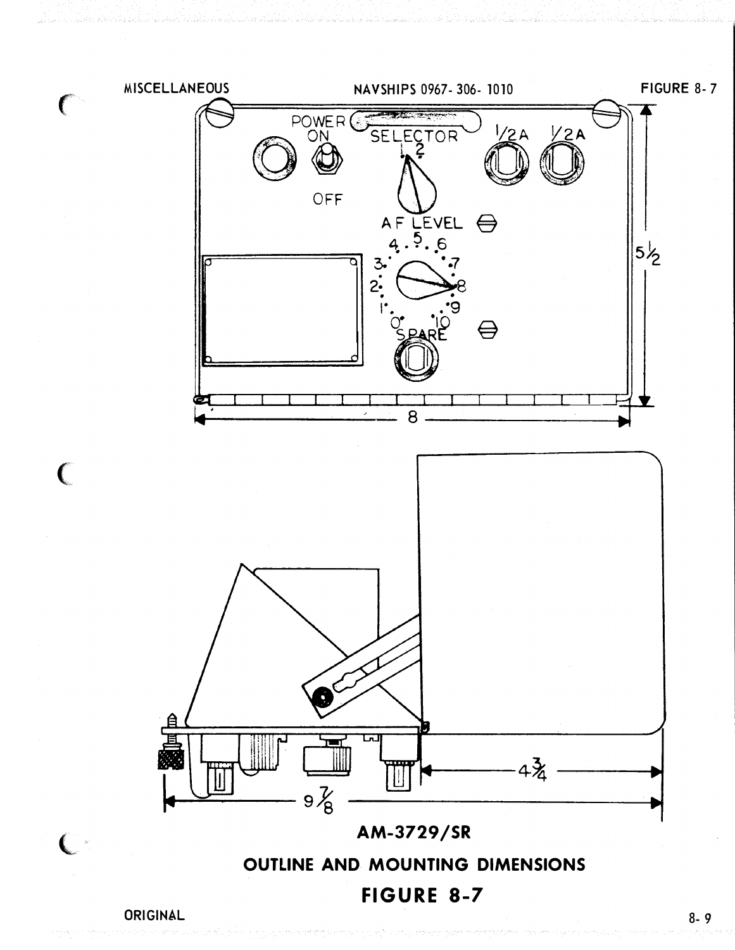

1. Thickness (Dim. "T") of material to be furnished on location. 2. All variable dimensions and type of foundation to be speci-

- 
- 
- fied on location.
	- 3. Foundation for KYB-6/TSEC and HYP-2/TSEC to be as follows:
		- a. Plating (7.65 #Plt. steel),  $\frac{1}{4}$ " thick aluminum
		- b. Type "B" shelf foundation
		- c. For installation with stiffener in way of unit: Dimension "A" =  $20"$  + depth of stiffener, dimension "B" =  $26"$ , dimension "C" = 9", dimension  $"D" = 2"$
		- d. For installation with no stiffener interference: dimension "A" = 20", dimension "B" = 26", dimension "C" = 9", dimension "D" = 2".

|                  | LIST OF MATERIAL QUANTITIES FOR ONE FDN |             |                 |                    |                 |  |  |  |
|------------------|-----------------------------------------|-------------|-----------------|--------------------|-----------------|--|--|--|
| <b>PC</b><br>NO. | <b>NAME</b>                             |             | <b>MATERIAL</b> | MT'L SPEC.         | <b>REMARKS</b>  |  |  |  |
|                  | PLT (SEE NOTE #2)                       |             | MED. STL.       | <b>MIL-S-16113</b> | TYPE "A"        |  |  |  |
|                  | PLT (SEE NOTE #2)                       |             | MED. STL        | <b>MIL-S-16113</b> | TYPE "B"        |  |  |  |
|                  | PLT (SEE NOTE #2)                       |             | AL-615-T6       | QQ-A-327           |                 |  |  |  |
| $\mathbf{2}$     | PLT (SEE NOTE #2)                       |             | <b>MED STL</b>  | <b>MIL-S-16113</b> |                 |  |  |  |
| 3                | 1/4" HEX H.D. BOLT                      | AS<br>REQ'D | C.R.S.          | <b>MIL-B-857</b>   | <b>TYPE "C"</b> |  |  |  |
| 4                | <b>14" HEX NUT</b>                      |             |                 | <b>MIL-B-857</b>   |                 |  |  |  |
| 5                | 1/4" DIA-FLAT WASHER                    |             |                 | <b>MIL-S-854</b>   |                 |  |  |  |
|                  |                                         |             |                 |                    |                 |  |  |  |

### NOTES:

4. Size and location of mounting bolts to be taken from equipment.

ORIGINAL

# KYB-6/TSEC AND HYP-2/TSEC TYPICAL FOUNDATION DETAILS

# FIGURE 8-1

8- 5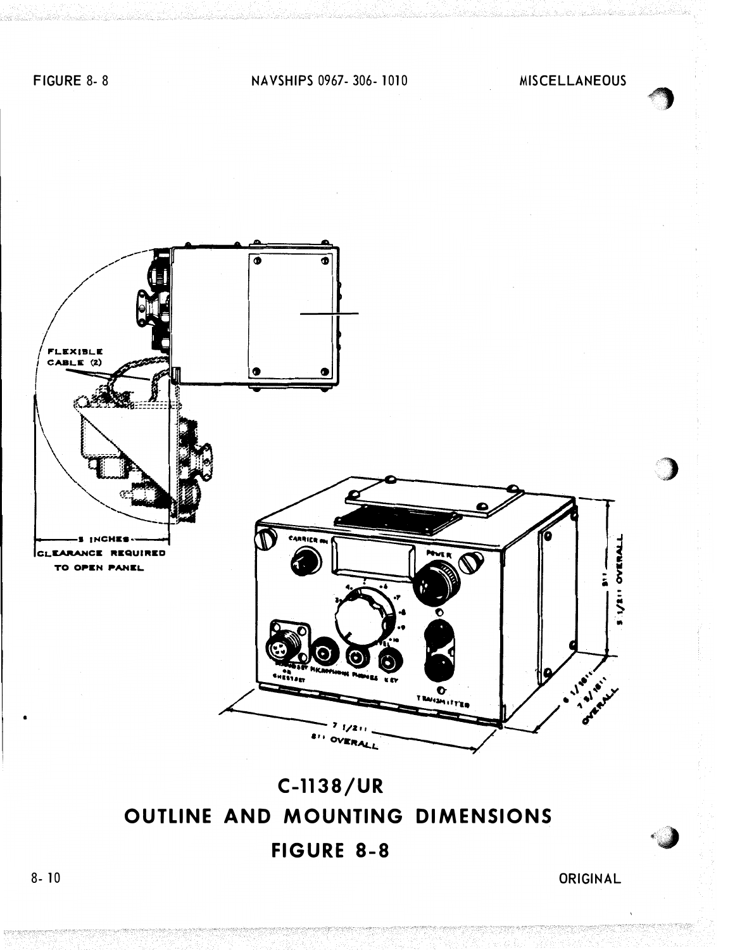C-1138/UR, LS-474/U AND AM-3729/SR TYPICAL FOUNDATION DETAILS FIGURE 8-2

ORIGINAL



### NOTES:

|            | LIST OF MATERIAL - QUANTITIES FOR ONE FOUNDATION |              |          |                   |                     |         |  |  |  |
|------------|--------------------------------------------------|--------------|----------|-------------------|---------------------|---------|--|--|--|
| Pc.<br>No. | Name                                             | No.<br>Reqd. | Material | $Mt'1$ .<br>Spec. | Federal Stk.<br>No. | Remarks |  |  |  |
|            | $7.65$ #Plt.                                     |              | M. Stl.  |                   | 9515-237-5333       |         |  |  |  |

- 1. Template all work from ship as required.
- 2. Material may be substituted to suit installation.
- 3. Size and location of mounting bolts to be taken

from equipment.